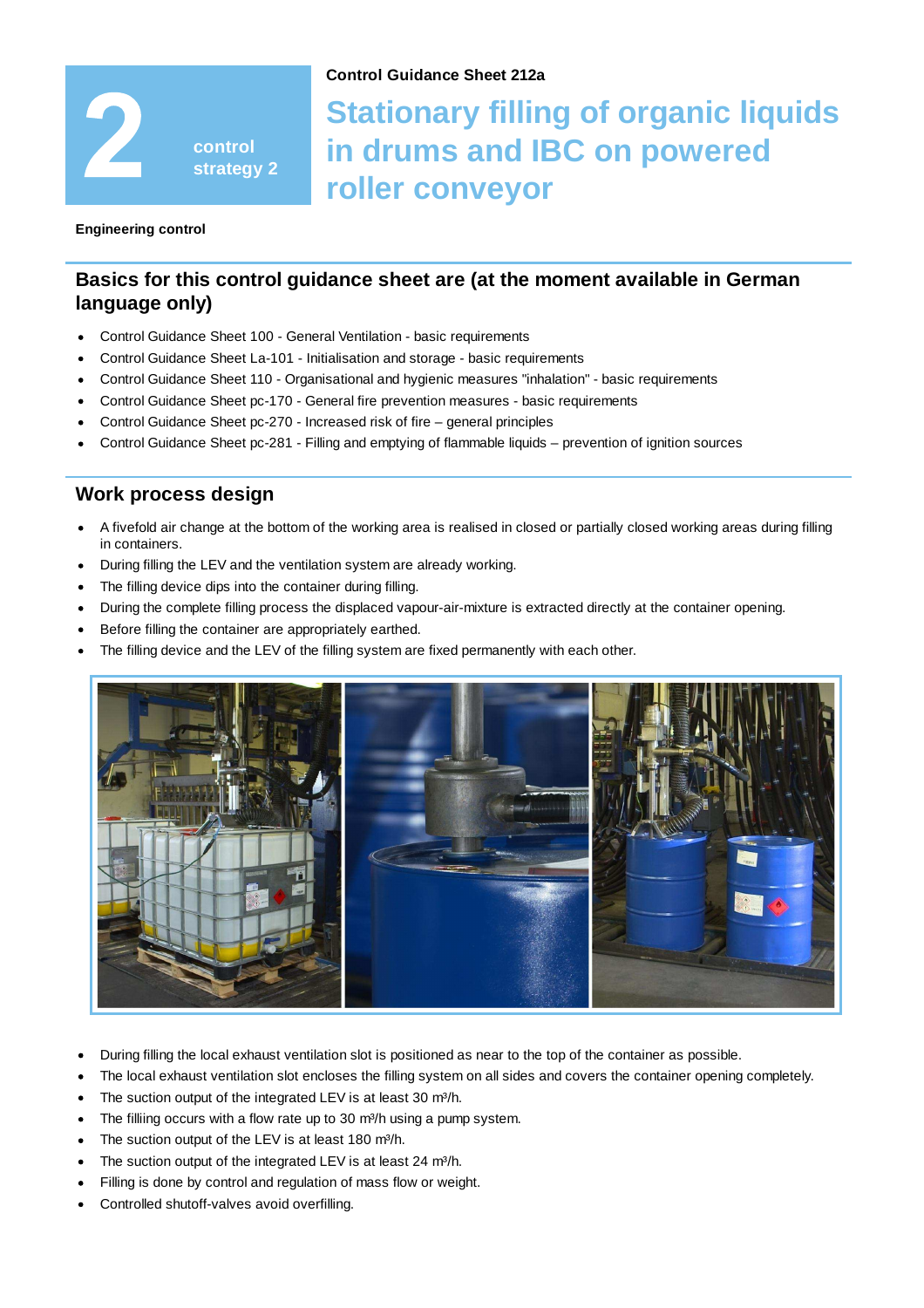

#### **Control Guidance Sheet 212a**

# **Stationary filling of organic liquids in drums and IBC on powered roller conveyor**

**Engineering control**

## **Basics for this control guidance sheet are (at the moment available in German language only)**

- Control Guidance Sheet 100 General Ventilation basic requirements
- Control Guidance Sheet La-101 Initialisation and storage basic requirements
- Control Guidance Sheet 110 Organisational and hygienic measures "inhalation" basic requirements
- Control Guidance Sheet pc-170 General fire prevention measures basic requirements
- Control Guidance Sheet pc-270 Increased risk of fire general principles
- Control Guidance Sheet pc-281 Filling and emptying of flammable liquids prevention of ignition sources

### **Work process design**

- A fivefold air change at the bottom of the working area is realised in closed or partially closed working areas during filling in containers.
- During filling the LEV and the ventilation system are already working.
- The filling device dips into the container during filling.
- During the complete filling process the displaced vapour-air-mixture is extracted directly at the container opening.
- Before filling the container are appropriately earthed.
- The filling device and the LEV of the filling system are fixed permanently with each other.



- During filling the local exhaust ventilation slot is positioned as near to the top of the container as possible.
- The local exhaust ventilation slot encloses the filling system on all sides and covers the container opening completely.
- The suction output of the integrated LEV is at least 30 m<sup>3</sup>/h.
- The filliing occurs with a flow rate up to 30  $m^3/h$  using a pump system.
- The suction output of the LEV is at least 180 m<sup>3</sup>/h.
- The suction output of the integrated LEV is at least 24 m<sup>3</sup>/h.
- Filling is done by control and regulation of mass flow or weight.
- Controlled shutoff-valves avoid overfilling.